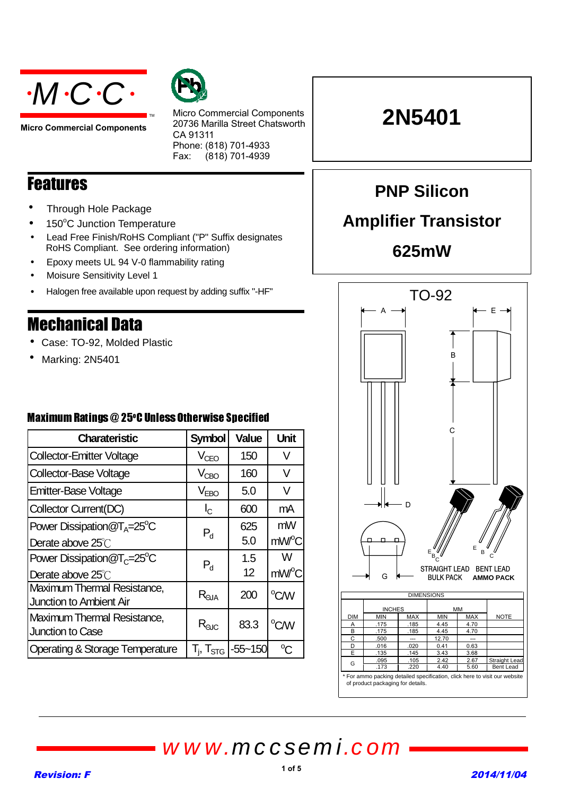



**Micro Commercial Components**

Micro Commercial Components 20736 Marilla Street Chatsworth CA 91311 Phone: (818) 701-4933 Fax: (818) 701-4939

## **Features**

- Through Hole Package •
- 150°C Junction Temperature •
- Lead Free Finish/RoHS Compliant ("P" Suffix designates RoHS Compliant. See ordering information)

TM

- Epoxy meets UL 94 V-0 flammability rating
- Moisure Sensitivity Level 1
- Halogen free available upon request by adding suffix "-HF"

## **Mechanical Data**

- Case: TO-92, Molded Plastic •
- Marking: 2N5401 •

### Maximum Ratings @ 25°C Unless Otherwise Specified

| <b>Charateristic</b>                                      | <b>Symbol</b>                                        | <b>Value</b> | <b>Unit</b>             |
|-----------------------------------------------------------|------------------------------------------------------|--------------|-------------------------|
| <b>Collector-Emitter Voltage</b>                          | $V_{CEO}$                                            | 150          | V                       |
| <b>Collector-Base Voltage</b>                             | $V_{CBO}$                                            | 160          | V                       |
| <b>Emitter-Base Voltage</b>                               | V <sub>EBO</sub>                                     | 5.0          | V                       |
| <b>Collector Current(DC)</b>                              | $I_{\rm C}$                                          | 600          | mA                      |
| Power Dissipation $@T_A=25^{\circ}C$<br>Derate above 25°C | $P_{d}$                                              | 625<br>5.0   | mW<br>mW <sup>o</sup> C |
| Power Dissipation $@T_c=25^{\circ}C$<br>Derate above 25°C | $P_{d}$                                              | 1.5<br>12    | W<br>mW <sup>o</sup> C  |
| Maximum Thermal Resistance,<br>Junction to Ambient Air    | $R_{\odot A}$                                        | 200          | °C/W                    |
| Maximum Thermal Resistance,<br>Junction to Case           | $R_{\text{QJC}}$                                     | 83.3         | °C/W                    |
| <b>Operating &amp; Storage Temperature</b>                | $\mathsf{T}_{\mathsf{i}}, \mathsf{T}_{\mathsf{STG}}$ | $-55 - 150$  | $^{\circ}C$             |

# **2N5401**

## **PNP Silicon**

## **Amplifier Transistor**

## **625mW**

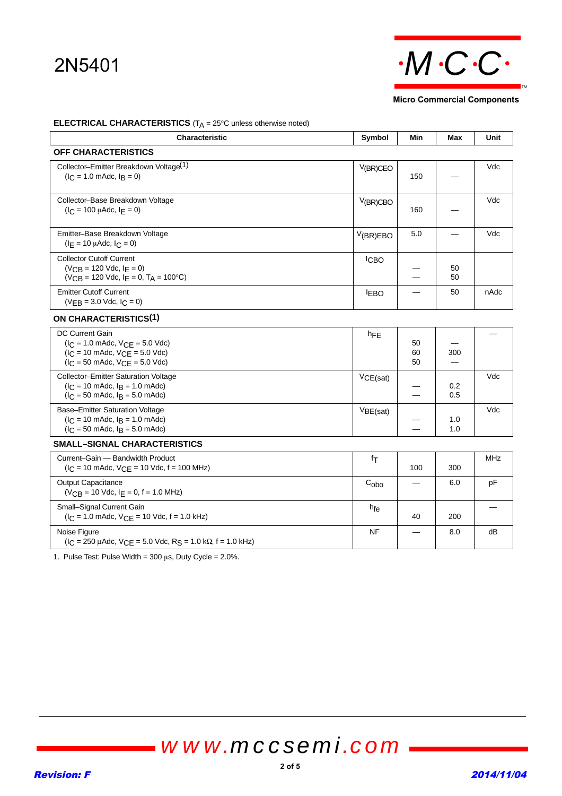



**Micro Commercial Components**

### **ELECTRICAL CHARACTERISTICS** (T<sub>A</sub> = 25°C unless otherwise noted)

| <b>Characteristic</b>                                                                                                                           | Symbol           | Min            | Max        | Unit |
|-------------------------------------------------------------------------------------------------------------------------------------------------|------------------|----------------|------------|------|
| <b>OFF CHARACTERISTICS</b>                                                                                                                      |                  |                |            |      |
| Collector-Emitter Breakdown Voltage(1)<br>$(IC = 1.0$ mAdc, $IB = 0)$                                                                           | $V(BR)$ CEO      | 150            |            | Vdc  |
| Collector-Base Breakdown Voltage<br>$(I_C = 100 \mu A d c, I_F = 0)$                                                                            | $V$ (BR)CBO      | 160            |            | Vdc  |
| Emitter-Base Breakdown Voltage<br>$(I_F = 10 \mu A d c, I_C = 0)$                                                                               | V(BR)EBO         | 5.0            |            | Vdc  |
| <b>Collector Cutoff Current</b><br>$(VCB = 120$ Vdc, $I_E = 0)$<br>$(VCB = 120$ Vdc, $I_E = 0$ , $T_A = 100$ °C)                                | <b>ICBO</b>      |                | 50<br>50   |      |
| <b>Emitter Cutoff Current</b><br>$(V_{FB} = 3.0$ Vdc, $I_C = 0)$                                                                                | <b>EBO</b>       |                | 50         | nAdc |
| <b>ON CHARACTERISTICS(1)</b>                                                                                                                    |                  |                |            |      |
| <b>DC Current Gain</b><br>$I_C = 1.0$ mAdc, $V_{CE} = 5.0$ Vdc)<br>$I_C = 10$ mAdc, $V_{CE} = 5.0$ Vdc)<br>$I_C = 50$ mAdc, $V_{CE} = 5.0$ Vdc) | hFE              | 50<br>60<br>50 | 300        |      |
| Collector-Emitter Saturation Voltage<br>$I_C = 10 \text{ m}$ Adc, $I_R = 1.0 \text{ m}$ Adc)<br>$I_C = 50$ mAdc, $I_R = 5.0$ mAdc)              | VCE(sat)         |                | 0.2<br>0.5 | Vdc  |
| <b>Base-Emitter Saturation Voltage</b><br>$I_C = 10$ mAdc, $I_R = 1.0$ mAdc)<br>$I_C = 50$ mAdc, $I_B = 5.0$ mAdc)                              | VBE(sat)         |                | 1.0<br>1.0 | Vdc  |
| <b>SMALL-SIGNAL CHARACTERISTICS</b>                                                                                                             |                  |                |            |      |
| Current-Gain - Bandwidth Product<br>$(I_C = 10 \text{ m}$ Adc, $V_{C} = 10 \text{ V}$ dc, f = 100 MHz)                                          | fτ               | 100            | 300        | MHz  |
| Output Capacitance<br>$(VCB = 10$ Vdc, $I_E = 0$ , $f = 1.0$ MHz)                                                                               | C <sub>obo</sub> |                | 6.0        | pF   |
| Small-Signal Current Gain<br>$(I_C = 1.0 \text{ m}$ Adc, $V_{CE} = 10 \text{ Vdc}, f = 1.0 \text{ kHz}$                                         | hfe              | 40             | 200        |      |
| Noise Figure<br>$(1_C = 250 \mu A d c, V_{CF} = 5.0 V d c, R_S = 1.0 k \Omega, f = 1.0 kHz)$                                                    | NF               |                | 8.0        | dВ   |

1. Pulse Test: Pulse Width =  $300 \mu s$ , Duty Cycle =  $2.0\%$ .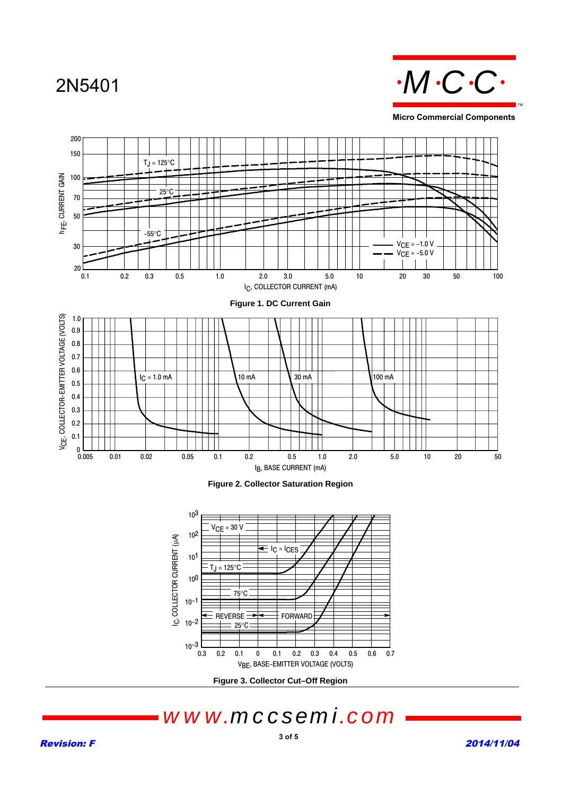





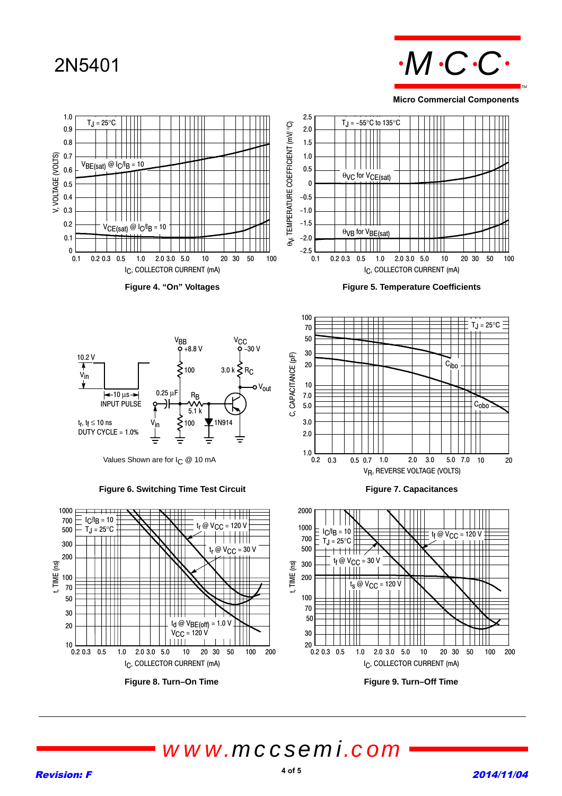

**Micro Commercial Components**